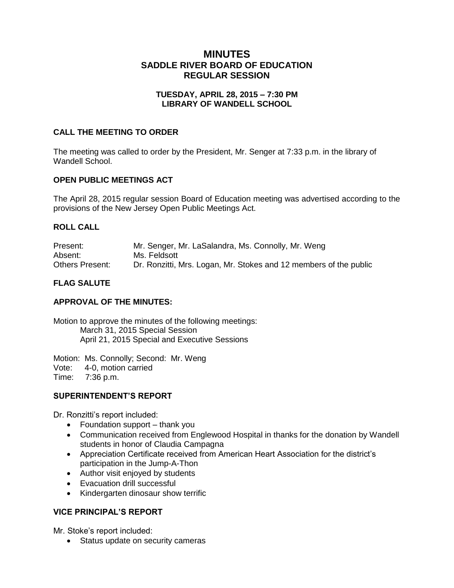# **MINUTES SADDLE RIVER BOARD OF EDUCATION REGULAR SESSION**

## **TUESDAY, APRIL 28, 2015 – 7:30 PM LIBRARY OF WANDELL SCHOOL**

## **CALL THE MEETING TO ORDER**

The meeting was called to order by the President, Mr. Senger at 7:33 p.m. in the library of Wandell School.

# **OPEN PUBLIC MEETINGS ACT**

The April 28, 2015 regular session Board of Education meeting was advertised according to the provisions of the New Jersey Open Public Meetings Act.

# **ROLL CALL**

| Present:               | Mr. Senger, Mr. LaSalandra, Ms. Connolly, Mr. Weng                |
|------------------------|-------------------------------------------------------------------|
| Absent:                | Ms. Feldsott                                                      |
| <b>Others Present:</b> | Dr. Ronzitti, Mrs. Logan, Mr. Stokes and 12 members of the public |

# **FLAG SALUTE**

## **APPROVAL OF THE MINUTES:**

Motion to approve the minutes of the following meetings: March 31, 2015 Special Session April 21, 2015 Special and Executive Sessions

Motion: Ms. Connolly; Second: Mr. Weng Vote: 4-0, motion carried Time: 7:36 p.m.

## **SUPERINTENDENT'S REPORT**

Dr. Ronzitti's report included:

- Foundation support thank you
- Communication received from Englewood Hospital in thanks for the donation by Wandell students in honor of Claudia Campagna
- Appreciation Certificate received from American Heart Association for the district's participation in the Jump-A-Thon
- Author visit enjoyed by students
- Evacuation drill successful
- Kindergarten dinosaur show terrific

## **VICE PRINCIPAL'S REPORT**

Mr. Stoke's report included:

• Status update on security cameras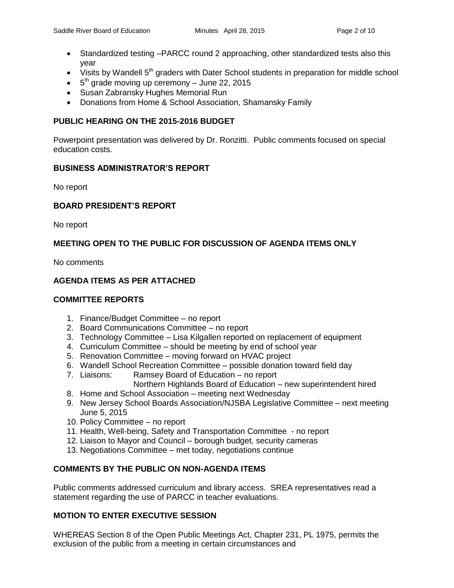- Standardized testing –PARCC round 2 approaching, other standardized tests also this year
- $\bullet$  Visits by Wandell 5<sup>th</sup> graders with Dater School students in preparation for middle school
- $\bullet$  5<sup>th</sup> grade moving up ceremony June 22, 2015
- Susan Zabransky Hughes Memorial Run
- Donations from Home & School Association, Shamansky Family

## **PUBLIC HEARING ON THE 2015-2016 BUDGET**

Powerpoint presentation was delivered by Dr. Ronzitti. Public comments focused on special education costs.

#### **BUSINESS ADMINISTRATOR'S REPORT**

No report

## **BOARD PRESIDENT'S REPORT**

No report

# **MEETING OPEN TO THE PUBLIC FOR DISCUSSION OF AGENDA ITEMS ONLY**

No comments

# **AGENDA ITEMS AS PER ATTACHED**

## **COMMITTEE REPORTS**

- 1. Finance/Budget Committee no report
- 2. Board Communications Committee no report
- 3. Technology Committee Lisa Kilgallen reported on replacement of equipment
- 4. Curriculum Committee should be meeting by end of school year
- 5. Renovation Committee moving forward on HVAC project
- 6. Wandell School Recreation Committee possible donation toward field day
- 7. Liaisons: Ramsey Board of Education no report
	- Northern Highlands Board of Education new superintendent hired
- 8. Home and School Association meeting next Wednesday
- 9. New Jersey School Boards Association/NJSBA Legislative Committee next meeting June 5, 2015
- 10. Policy Committee no report
- 11. Health, Well-being, Safety and Transportation Committee no report
- 12. Liaison to Mayor and Council borough budget, security cameras
- 13. Negotiations Committee met today, negotiations continue

## **COMMENTS BY THE PUBLIC ON NON-AGENDA ITEMS**

Public comments addressed curriculum and library access. SREA representatives read a statement regarding the use of PARCC in teacher evaluations.

## **MOTION TO ENTER EXECUTIVE SESSION**

WHEREAS Section 8 of the Open Public Meetings Act, Chapter 231, PL 1975, permits the exclusion of the public from a meeting in certain circumstances and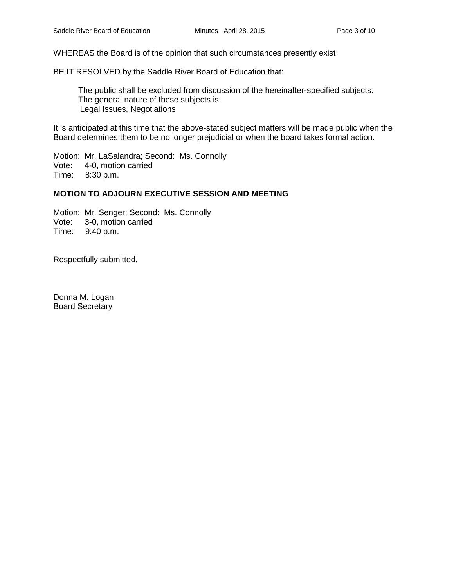WHEREAS the Board is of the opinion that such circumstances presently exist

BE IT RESOLVED by the Saddle River Board of Education that:

 The public shall be excluded from discussion of the hereinafter-specified subjects: The general nature of these subjects is: Legal Issues, Negotiations

It is anticipated at this time that the above-stated subject matters will be made public when the Board determines them to be no longer prejudicial or when the board takes formal action.

Motion: Mr. LaSalandra; Second: Ms. Connolly Vote: 4-0, motion carried<br>Time: 8:30 p.m.  $8:30$  p.m.

#### **MOTION TO ADJOURN EXECUTIVE SESSION AND MEETING**

Motion: Mr. Senger; Second: Ms. Connolly Vote: 3-0, motion carried Time: 9:40 p.m.

Respectfully submitted,

Donna M. Logan Board Secretary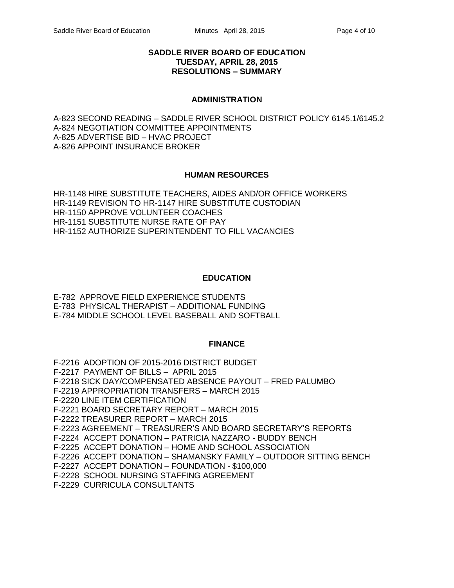#### **SADDLE RIVER BOARD OF EDUCATION TUESDAY, APRIL 28, 2015 RESOLUTIONS – SUMMARY**

#### **ADMINISTRATION**

A-823 SECOND READING – SADDLE RIVER SCHOOL DISTRICT POLICY 6145.1/6145.2 A-824 NEGOTIATION COMMITTEE APPOINTMENTS A-825 ADVERTISE BID – HVAC PROJECT A-826 APPOINT INSURANCE BROKER

## **HUMAN RESOURCES**

HR-1148 HIRE SUBSTITUTE TEACHERS, AIDES AND/OR OFFICE WORKERS HR-1149 REVISION TO HR-1147 HIRE SUBSTITUTE CUSTODIAN HR-1150 APPROVE VOLUNTEER COACHES HR-1151 SUBSTITUTE NURSE RATE OF PAY HR-1152 AUTHORIZE SUPERINTENDENT TO FILL VACANCIES

## **EDUCATION**

E-782 APPROVE FIELD EXPERIENCE STUDENTS E-783 PHYSICAL THERAPIST – ADDITIONAL FUNDING E-784 MIDDLE SCHOOL LEVEL BASEBALL AND SOFTBALL

## **FINANCE**

F-2216 ADOPTION OF 2015-2016 DISTRICT BUDGET F-2217 PAYMENT OF BILLS – APRIL 2015 F-2218 SICK DAY/COMPENSATED ABSENCE PAYOUT – FRED PALUMBO F-2219 APPROPRIATION TRANSFERS – MARCH 2015 F-2220 LINE ITEM CERTIFICATION F-2221 BOARD SECRETARY REPORT – MARCH 2015 F-2222 TREASURER REPORT – MARCH 2015 F-2223 AGREEMENT – TREASURER'S AND BOARD SECRETARY'S REPORTS F-2224 ACCEPT DONATION – PATRICIA NAZZARO - BUDDY BENCH F-2225 ACCEPT DONATION – HOME AND SCHOOL ASSOCIATION F-2226 ACCEPT DONATION – SHAMANSKY FAMILY – OUTDOOR SITTING BENCH F-2227 ACCEPT DONATION – FOUNDATION - \$100,000 F-2228 SCHOOL NURSING STAFFING AGREEMENT F-2229 CURRICULA CONSULTANTS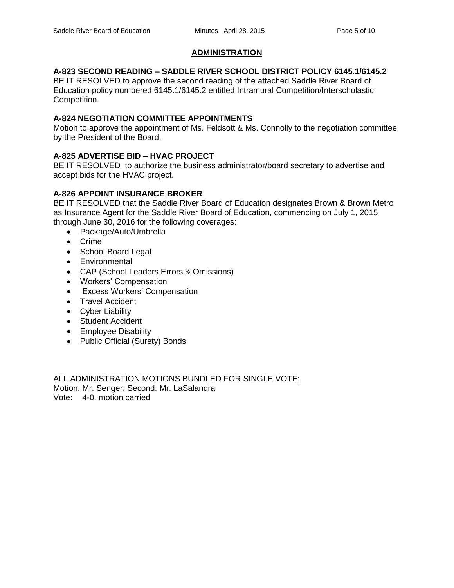# **ADMINISTRATION**

# **A-823 SECOND READING – SADDLE RIVER SCHOOL DISTRICT POLICY 6145.1/6145.2**

BE IT RESOLVED to approve the second reading of the attached Saddle River Board of Education policy numbered 6145.1/6145.2 entitled Intramural Competition/Interscholastic Competition.

## **A-824 NEGOTIATION COMMITTEE APPOINTMENTS**

Motion to approve the appointment of Ms. Feldsott & Ms. Connolly to the negotiation committee by the President of the Board.

# **A-825 ADVERTISE BID – HVAC PROJECT**

BE IT RESOLVED to authorize the business administrator/board secretary to advertise and accept bids for the HVAC project.

# **A-826 APPOINT INSURANCE BROKER**

BE IT RESOLVED that the Saddle River Board of Education designates Brown & Brown Metro as Insurance Agent for the Saddle River Board of Education, commencing on July 1, 2015 through June 30, 2016 for the following coverages:

- Package/Auto/Umbrella
- Crime
- School Board Legal
- Environmental
- CAP (School Leaders Errors & Omissions)
- Workers' Compensation
- Excess Workers' Compensation
- Travel Accident
- Cyber Liability
- Student Accident
- Employee Disability
- Public Official (Surety) Bonds

ALL ADMINISTRATION MOTIONS BUNDLED FOR SINGLE VOTE: Motion: Mr. Senger; Second: Mr. LaSalandra

Vote: 4-0, motion carried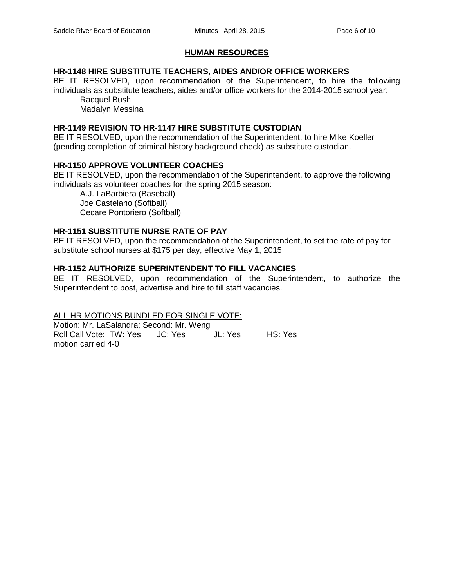# **HUMAN RESOURCES**

## **HR-1148 HIRE SUBSTITUTE TEACHERS, AIDES AND/OR OFFICE WORKERS**

BE IT RESOLVED, upon recommendation of the Superintendent, to hire the following individuals as substitute teachers, aides and/or office workers for the 2014-2015 school year: Racquel Bush

Madalyn Messina

#### **HR-1149 REVISION TO HR-1147 HIRE SUBSTITUTE CUSTODIAN**

BE IT RESOLVED, upon the recommendation of the Superintendent, to hire Mike Koeller (pending completion of criminal history background check) as substitute custodian.

#### **HR-1150 APPROVE VOLUNTEER COACHES**

BE IT RESOLVED, upon the recommendation of the Superintendent, to approve the following individuals as volunteer coaches for the spring 2015 season:

A.J. LaBarbiera (Baseball) Joe Castelano (Softball) Cecare Pontoriero (Softball)

#### **HR-1151 SUBSTITUTE NURSE RATE OF PAY**

BE IT RESOLVED, upon the recommendation of the Superintendent, to set the rate of pay for substitute school nurses at \$175 per day, effective May 1, 2015

#### **HR-1152 AUTHORIZE SUPERINTENDENT TO FILL VACANCIES**

BE IT RESOLVED, upon recommendation of the Superintendent, to authorize the Superintendent to post, advertise and hire to fill staff vacancies.

ALL HR MOTIONS BUNDLED FOR SINGLE VOTE:

Motion: Mr. LaSalandra; Second: Mr. Weng Roll Call Vote: TW: Yes JC: Yes JL: Yes HS: Yes motion carried 4-0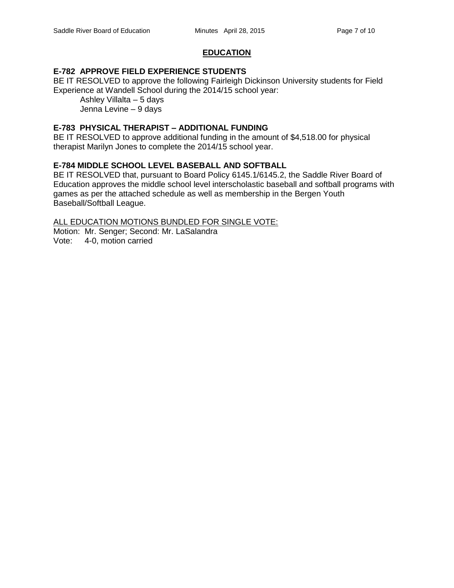## **EDUCATION**

#### **E-782 APPROVE FIELD EXPERIENCE STUDENTS**

BE IT RESOLVED to approve the following Fairleigh Dickinson University students for Field Experience at Wandell School during the 2014/15 school year:

Ashley Villalta – 5 days Jenna Levine – 9 days

## **E-783 PHYSICAL THERAPIST – ADDITIONAL FUNDING**

BE IT RESOLVED to approve additional funding in the amount of \$4,518.00 for physical therapist Marilyn Jones to complete the 2014/15 school year.

#### **E-784 MIDDLE SCHOOL LEVEL BASEBALL AND SOFTBALL**

BE IT RESOLVED that, pursuant to Board Policy 6145.1/6145.2, the Saddle River Board of Education approves the middle school level interscholastic baseball and softball programs with games as per the attached schedule as well as membership in the Bergen Youth Baseball/Softball League.

#### ALL EDUCATION MOTIONS BUNDLED FOR SINGLE VOTE:

Motion: Mr. Senger; Second: Mr. LaSalandra

Vote: 4-0, motion carried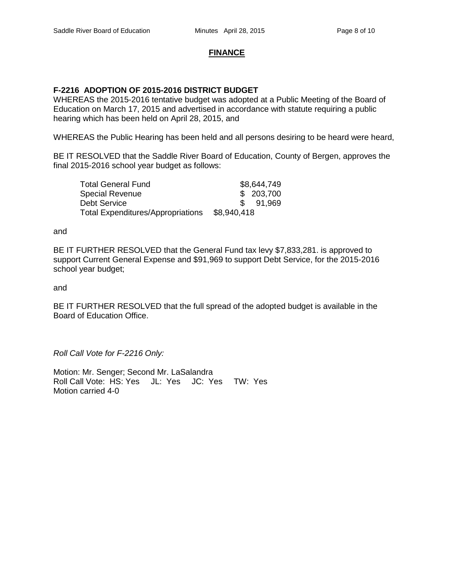#### **FINANCE**

#### **F-2216 ADOPTION OF 2015-2016 DISTRICT BUDGET**

WHEREAS the 2015-2016 tentative budget was adopted at a Public Meeting of the Board of Education on March 17, 2015 and advertised in accordance with statute requiring a public hearing which has been held on April 28, 2015, and

WHEREAS the Public Hearing has been held and all persons desiring to be heard were heard,

BE IT RESOLVED that the Saddle River Board of Education, County of Bergen, approves the final 2015-2016 school year budget as follows:

| Total General Fund                |             | \$8,644,749 |
|-----------------------------------|-------------|-------------|
| Special Revenue                   |             | \$203,700   |
| Debt Service                      |             | \$91.969    |
| Total Expenditures/Appropriations | \$8,940,418 |             |

and

BE IT FURTHER RESOLVED that the General Fund tax levy \$7,833,281. is approved to support Current General Expense and \$91,969 to support Debt Service, for the 2015-2016 school year budget;

and

BE IT FURTHER RESOLVED that the full spread of the adopted budget is available in the Board of Education Office.

*Roll Call Vote for F-2216 Only:*

Motion: Mr. Senger; Second Mr. LaSalandra Roll Call Vote: HS: Yes JL: Yes JC: Yes TW: Yes Motion carried 4-0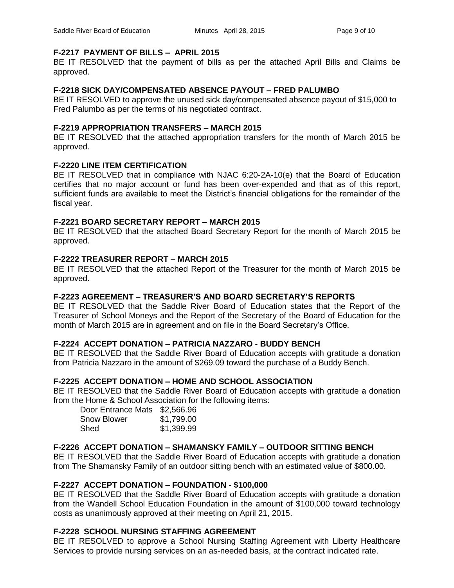## **F-2217 PAYMENT OF BILLS – APRIL 2015**

BE IT RESOLVED that the payment of bills as per the attached April Bills and Claims be approved.

## **F-2218 SICK DAY/COMPENSATED ABSENCE PAYOUT – FRED PALUMBO**

BE IT RESOLVED to approve the unused sick day/compensated absence payout of \$15,000 to Fred Palumbo as per the terms of his negotiated contract.

#### **F-2219 APPROPRIATION TRANSFERS – MARCH 2015**

BE IT RESOLVED that the attached appropriation transfers for the month of March 2015 be approved.

## **F-2220 LINE ITEM CERTIFICATION**

BE IT RESOLVED that in compliance with NJAC 6:20-2A-10(e) that the Board of Education certifies that no major account or fund has been over-expended and that as of this report, sufficient funds are available to meet the District's financial obligations for the remainder of the fiscal year.

#### **F-2221 BOARD SECRETARY REPORT – MARCH 2015**

BE IT RESOLVED that the attached Board Secretary Report for the month of March 2015 be approved.

## **F-2222 TREASURER REPORT – MARCH 2015**

BE IT RESOLVED that the attached Report of the Treasurer for the month of March 2015 be approved.

## **F-2223 AGREEMENT – TREASURER'S AND BOARD SECRETARY'S REPORTS**

BE IT RESOLVED that the Saddle River Board of Education states that the Report of the Treasurer of School Moneys and the Report of the Secretary of the Board of Education for the month of March 2015 are in agreement and on file in the Board Secretary's Office.

## **F-2224 ACCEPT DONATION – PATRICIA NAZZARO - BUDDY BENCH**

BE IT RESOLVED that the Saddle River Board of Education accepts with gratitude a donation from Patricia Nazzaro in the amount of \$269.09 toward the purchase of a Buddy Bench.

# **F-2225 ACCEPT DONATION – HOME AND SCHOOL ASSOCIATION**

BE IT RESOLVED that the Saddle River Board of Education accepts with gratitude a donation from the Home & School Association for the following items:

| Door Entrance Mats \$2,566.96 |            |
|-------------------------------|------------|
| <b>Snow Blower</b>            | \$1,799.00 |
| Shed                          | \$1,399.99 |

## **F-2226 ACCEPT DONATION – SHAMANSKY FAMILY – OUTDOOR SITTING BENCH**

BE IT RESOLVED that the Saddle River Board of Education accepts with gratitude a donation from The Shamansky Family of an outdoor sitting bench with an estimated value of \$800.00.

## **F-2227 ACCEPT DONATION – FOUNDATION - \$100,000**

BE IT RESOLVED that the Saddle River Board of Education accepts with gratitude a donation from the Wandell School Education Foundation in the amount of \$100,000 toward technology costs as unanimously approved at their meeting on April 21, 2015.

## **F-2228 SCHOOL NURSING STAFFING AGREEMENT**

BE IT RESOLVED to approve a School Nursing Staffing Agreement with Liberty Healthcare Services to provide nursing services on an as-needed basis, at the contract indicated rate.